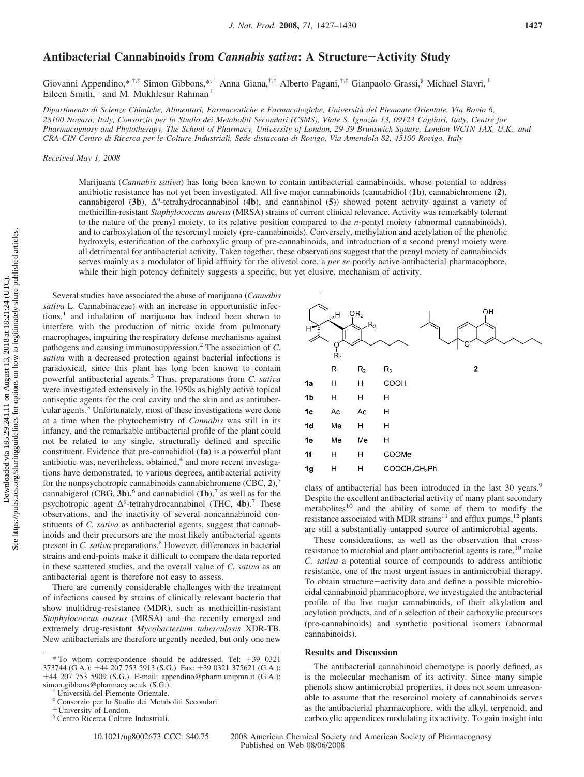## Antibacterial Cannabinoids from *Cannabis sativa*: A Structure-Activity Study

Giovanni Appendino,\*,†,‡ Simon Gibbons,\*,⊥ Anna Giana,<sup>†,‡</sup> Alberto Pagani,<sup>†,‡</sup> Gianpaolo Grassi,<sup>§</sup> Michael Stavri,⊥ Eileen Smith, $\frac{1}{x}$  and M. Mukhlesur Rahman<sup>⊥</sup>

*Dipartimento di Scienze Chimiche, Alimentari, Farmaceutiche e Farmacologiche, Uni*V*ersita` del Piemonte Orientale, Via Bo*V*io 6, 28100 No*V*ara, Italy, Consorzio per lo Studio dei Metaboliti Secondari (CSMS), Viale S. Ignazio 13, 09123 Cagliari, Italy, Centre for* Pharmacognosy and Phytotherapy, The School of Pharmacy, University of London, 29-39 Brunswick Square, London WC1N 1AX, U.K., and *CRA-CIN Centro di Ricerca per le Colture Industriali, Sede distaccata di Ro*V*igo, Via Amendola 82, 45100 Ro*V*igo, Italy*

*Recei*V*ed May 1, 2008*

Marijuana (*Cannabis sativa*) has long been known to contain antibacterial cannabinoids, whose potential to address antibiotic resistance has not yet been investigated. All five major cannabinoids (cannabidiol (**1b**), cannabichromene (**2**), cannabigerol (**3b**), ∆9-tetrahydrocannabinol (**4b**), and cannabinol (**5**)) showed potent activity against a variety of methicillin-resistant *Staphylococcus aureus* (MRSA) strains of current clinical relevance. Activity was remarkably tolerant to the nature of the prenyl moiety, to its relative position compared to the *n*-pentyl moiety (abnormal cannabinoids), and to carboxylation of the resorcinyl moiety (pre-cannabinoids). Conversely, methylation and acetylation of the phenolic hydroxyls, esterification of the carboxylic group of pre-cannabinoids, and introduction of a second prenyl moiety were all detrimental for antibacterial activity. Taken together, these observations suggest that the prenyl moiety of cannabinoids serves mainly as a modulator of lipid affinity for the olivetol core, a *per se* poorly active antibacterial pharmacophore, while their high potency definitely suggests a specific, but yet elusive, mechanism of activity.

Several studies have associated the abuse of marijuana (*Cannabis sativa* L. Cannabinaceae) with an increase in opportunistic infections,<sup>1</sup> and inhalation of marijuana has indeed been shown to interfere with the production of nitric oxide from pulmonary macrophages, impairing the respiratory defense mechanisms against pathogens and causing immunosuppression.<sup>2</sup> The association of *C. sativa* with a decreased protection against bacterial infections is paradoxical, since this plant has long been known to contain powerful antibacterial agents.<sup>3</sup> Thus, preparations from *C. sativa* were investigated extensively in the 1950s as highly active topical antiseptic agents for the oral cavity and the skin and as antitubercular agents.3 Unfortunately, most of these investigations were done at a time when the phytochemistry of *Cannabis* was still in its infancy, and the remarkable antibacterial profile of the plant could not be related to any single, structurally defined and specific constituent. Evidence that pre-cannabidiol (**1a**) is a powerful plant antibiotic was, nevertheless, obtained, $4$  and more recent investigations have demonstrated, to various degrees, antibacterial activity for the nonpsychotropic cannabinoids cannabichromene  $(CBC, 2)$ ,<sup>5</sup> cannabigerol  $(CBG, 3b)$ ,<sup>6</sup> and cannabidiol  $(1b)$ ,<sup>7</sup> as well as for the psychotropic agent  $\Delta^9$ -tetrahydrocannabinol (THC, **4b**).<sup>7</sup> These observations, and the inactivity of several noncannabinoid constituents of *C. sativa* as antibacterial agents, suggest that cannabinoids and their precursors are the most likely antibacterial agents present in *C. sativa* preparations.<sup>8</sup> However, differences in bacterial strains and end-points make it difficult to compare the data reported in these scattered studies, and the overall value of *C. sativa* as an antibacterial agent is therefore not easy to assess.

There are currently considerable challenges with the treatment of infections caused by strains of clinically relevant bacteria that show multidrug-resistance (MDR), such as methicillin-resistant *Staphylococcus aureus* (MRSA) and the recently emerged and extremely drug-resistant *Mycobacterium tuberculosis* XDR-TB. New antibacterials are therefore urgently needed, but only one new

| H              | $H_{\alpha\beta}$<br>ပှ<br>$\dot{\mathsf{R}}_1$ | OR <sub>2</sub><br>$R_3$ | OH                                    |
|----------------|-------------------------------------------------|--------------------------|---------------------------------------|
|                | $R_1$                                           | R <sub>2</sub>           | $\mathbf 2$<br>$R_3$                  |
| 1a             | Н                                               | Η                        | COOH                                  |
| 1 <sub>b</sub> | Η                                               | Η                        | Η                                     |
| 1c             | Ac                                              | Ac                       | н                                     |
| 1 <sub>d</sub> | Me                                              | Н                        | Н                                     |
| 1e             | Me                                              | Me                       | н                                     |
| 1f             | Н                                               | Η                        | COOMe                                 |
| 1 <sub>g</sub> | Н                                               | Н                        | COOCH <sub>2</sub> CH <sub>2</sub> Ph |

class of antibacterial has been introduced in the last 30 years.<sup>9</sup> Despite the excellent antibacterial activity of many plant secondary metabolites $10$  and the ability of some of them to modify the resistance associated with MDR strains<sup>11</sup> and efflux pumps,<sup>12</sup> plants are still a substantially untapped source of antimicrobial agents.

These considerations, as well as the observation that crossresistance to microbial and plant antibacterial agents is rare,<sup>10</sup> make *C. sativa* a potential source of compounds to address antibiotic resistance, one of the most urgent issues in antimicrobial therapy. To obtain structure-activity data and define a possible microbiocidal cannabinoid pharmacophore, we investigated the antibacterial profile of the five major cannabinoids, of their alkylation and acylation products, and of a selection of their carboxylic precursors (pre-cannabinoids) and synthetic positional isomers (abnormal cannabinoids).

## **Results and Discussion**

The antibacterial cannabinoid chemotype is poorly defined, as is the molecular mechanism of its activity. Since many simple phenols show antimicrobial properties, it does not seem unreasonable to assume that the resorcinol moiety of cannabinoids serves as the antibacterial pharmacophore, with the alkyl, terpenoid, and carboxylic appendices modulating its activity. To gain insight into

10.1021/np8002673 CCC: \$40.75 2008 American Chemical Society and American Society of Pharmacognosy Published on Web 08/06/2008

<sup>\*</sup> To whom correspondence should be addressed. Tel:  $+39$  0321 373744 (G.A.);  $+44$  207 753 5913 (S.G.). Fax:  $+39$  0321 375621 (G.A.); 373744 (G.A.); +44 207 753 5913 (S.G.). Fax: +39 0321 375621 (G.A.);<br>+44 207 753 5909 (S.G.). E-mail: appendino@pharm.unipmn.it (G.A.); +44 207 753 5909 (S.G.). E-mail: appendino@pharm.unipmn.it (G.A.); simon.gibbons@pharmacy.ac.uk (S.G.).<br>
<sup>†</sup> Università del Piemonte Orientale.<br>
<sup>‡</sup> Consorzio per lo Studio dei Metaboliti Secondari.<br>
<sup>⊥</sup> University of London.

<sup>§</sup> Centro Ricerca Colture Industriali.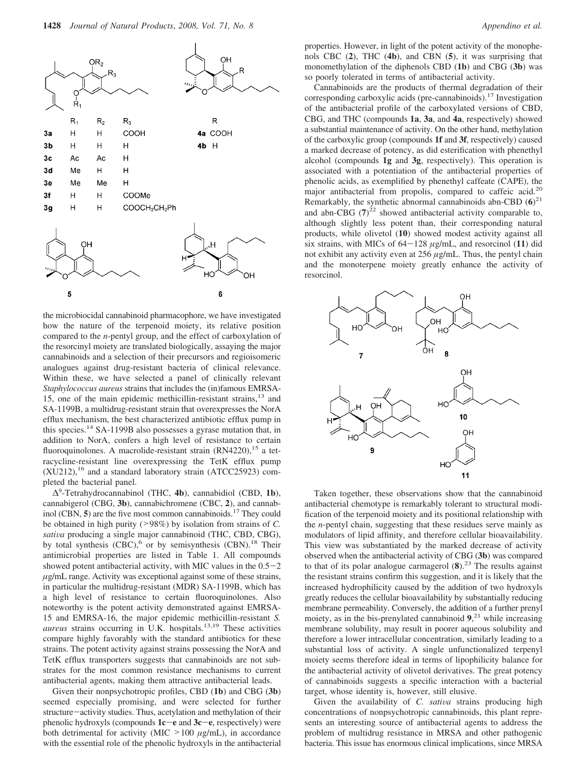

the microbiocidal cannabinoid pharmacophore, we have investigated how the nature of the terpenoid moiety, its relative position compared to the *n*-pentyl group, and the effect of carboxylation of the resorcinyl moiety are translated biologically, assaying the major cannabinoids and a selection of their precursors and regioisomeric analogues against drug-resistant bacteria of clinical relevance. Within these, we have selected a panel of clinically relevant *Staphylococcus aureus* strains that includes the (in)famous EMRSA-15, one of the main epidemic methicillin-resistant strains,13 and SA-1199B, a multidrug-resistant strain that overexpresses the NorA efflux mechanism, the best characterized antibiotic efflux pump in this species.14 SA-1199B also possesses a gyrase mutation that, in addition to NorA, confers a high level of resistance to certain fluoroquinolones. A macrolide-resistant strain (RN4220),<sup>15</sup> a tetracycline-resistant line overexpressing the TetK efflux pump  $(XU212)$ ,<sup>16</sup> and a standard laboratory strain (ATCC25923) completed the bacterial panel.

∆9-Tetrahydrocannabinol (THC, **4b**), cannabidiol (CBD, **1b**), cannabigerol (CBG, **3b**), cannabichromene (CBC, **2**), and cannabinol (CBN, **5**) are the five most common cannabinoids.17 They could be obtained in high purity (>98%) by isolation from strains of *C. sativa* producing a single major cannabinoid (THC, CBD, CBG), by total synthesis  $(CBC)$ , or by semisynthesis  $(CBN)$ .<sup>18</sup> Their antimicrobial properties are listed in Table 1. All compounds showed potent antibacterial activity, with MIC values in the  $0.5-2$ *µ*g/mL range. Activity was exceptional against some of these strains, in particular the multidrug-resistant (MDR) SA-1199B, which has a high level of resistance to certain fluoroquinolones. Also noteworthy is the potent activity demonstrated against EMRSA-15 and EMRSA-16, the major epidemic methicillin-resistant *S. aureus* strains occurring in U.K. hospitals.<sup>13,19</sup> These activities compare highly favorably with the standard antibiotics for these strains. The potent activity against strains possessing the NorA and TetK efflux transporters suggests that cannabinoids are not substrates for the most common resistance mechanisms to current antibacterial agents, making them attractive antibacterial leads.

Given their nonpsychotropic profiles, CBD (**1b**) and CBG (**3b**) seemed especially promising, and were selected for further structure-activity studies. Thus, acetylation and methylation of their phenolic hydroxyls (compounds **1c**-**<sup>e</sup>** and **3c**-**e**, respectively) were both detrimental for activity (MIC  $>100 \mu g/mL$ ), in accordance with the essential role of the phenolic hydroxyls in the antibacterial properties. However, in light of the potent activity of the monophenols CBC (**2**), THC (**4b**), and CBN (**5**), it was surprising that monomethylation of the diphenols CBD (**1b**) and CBG (**3b**) was so poorly tolerated in terms of antibacterial activity.

Cannabinoids are the products of thermal degradation of their corresponding carboxylic acids (pre-cannabinoids).17 Investigation of the antibacterial profile of the carboxylated versions of CBD, CBG, and THC (compounds **1a**, **3a**, and **4a**, respectively) showed a substantial maintenance of activity. On the other hand, methylation of the carboxylic group (compounds **1f** and **3f**, respectively) caused a marked decrease of potency, as did esterification with phenethyl alcohol (compounds **1g** and **3g**, respectively). This operation is associated with a potentiation of the antibacterial properties of phenolic acids, as exemplified by phenethyl caffeate (CAPE), the major antibacterial from propolis, compared to caffeic acid.<sup>20</sup> Remarkably, the synthetic abnormal cannabinoids abn-CBD (**6**) 21 and abn-CBG  $(7)^{22}$  showed antibacterial activity comparable to, although slightly less potent than, their corresponding natural products, while olivetol (**10**) showed modest activity against all six strains, with MICs of  $64-128 \mu$ g/mL, and resorcinol (11) did not exhibit any activity even at 256 *µ*g/mL. Thus, the pentyl chain and the monoterpene moiety greatly enhance the activity of resorcinol.



Taken together, these observations show that the cannabinoid antibacterial chemotype is remarkably tolerant to structural modification of the terpenoid moiety and its positional relationship with the *n*-pentyl chain, suggesting that these residues serve mainly as modulators of lipid affinity, and therefore cellular bioavailability. This view was substantiated by the marked decrease of activity observed when the antibacterial activity of CBG (**3b**) was compared to that of its polar analogue carmagerol  $(8)$ .<sup>23</sup> The results against the resistant strains confirm this suggestion, and it is likely that the increased hydrophilicity caused by the addition of two hydroxyls greatly reduces the cellular bioavailability by substantially reducing membrane permeability. Conversely, the addition of a further prenyl moiety, as in the bis-prenylated cannabinoid **9**, <sup>21</sup> while increasing membrane solubility, may result in poorer aqueous solubility and therefore a lower intracellular concentration, similarly leading to a substantial loss of activity. A single unfunctionalized terpenyl moiety seems therefore ideal in terms of lipophilicity balance for the antibacterial activity of olivetol derivatives. The great potency of cannabinoids suggests a specific interaction with a bacterial target, whose identity is, however, still elusive.

Given the availability of *C. sativa* strains producing high concentrations of nonpsychotropic cannabinoids, this plant represents an interesting source of antibacterial agents to address the problem of multidrug resistance in MRSA and other pathogenic bacteria. This issue has enormous clinical implications, since MRSA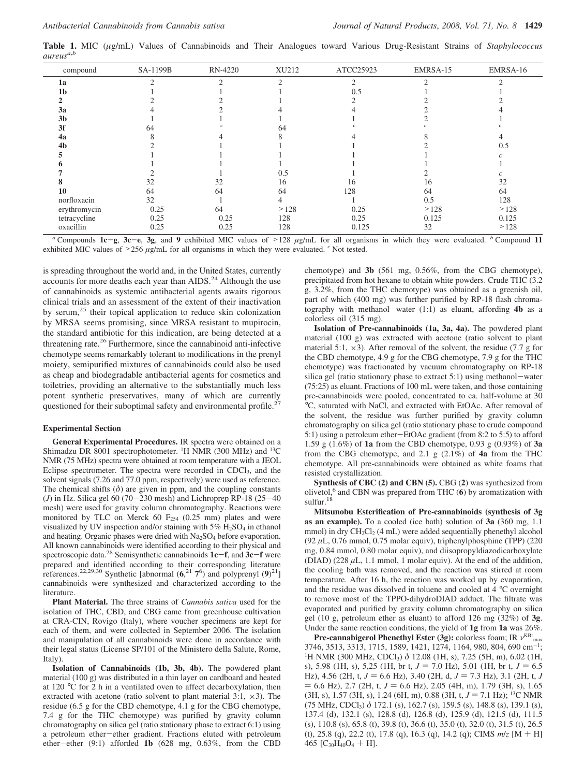**Table 1.** MIC (*µ*g/mL) Values of Cannabinoids and Their Analogues toward Various Drug-Resistant Strains of *Staphylococcus aureusa*,*<sup>b</sup>*

| compound       | SA-1199B | RN-4220   | XU212 | ATCC25923     | EMRSA-15 | EMRSA-16             |
|----------------|----------|-----------|-------|---------------|----------|----------------------|
| 1a             |          | $\bigcap$ | ⌒     | $\mathcal{D}$ |          |                      |
| 1 <sub>b</sub> |          |           |       | 0.5           |          |                      |
|                |          |           |       |               |          |                      |
| 3a             |          |           |       |               |          |                      |
| 3 <sub>b</sub> |          |           |       |               |          |                      |
| 3f             | 64       |           | 64    |               |          |                      |
| 4a             |          |           |       |               |          |                      |
| 4b             |          |           |       |               |          | 0.5                  |
|                |          |           |       |               |          |                      |
|                |          |           |       |               |          |                      |
|                |          |           | 0.5   |               |          |                      |
|                | 32       | 32        | 16    | 16            | 16       | 32                   |
| 10             | 64       | 64        | 64    | 128           | 64       | 64                   |
| norfloxacin    | 32       |           |       |               | 0.5      | 128                  |
| erythromycin   | 0.25     | 64        | >128  | 0.25          | >128     | >128                 |
| tetracycline   | 0.25     | 0.25      | 128   | 0.25          | 0.125    | 0.125                |
| oxacillin      | 0.25     | 0.25      | 128   | 0.125         | 32       | >128<br>$\mathbf{r}$ |

<sup>*a*</sup> Compounds **1c**-**g**, **3c**-**e**, **3g**, and **9** exhibited MIC values of  $>128$  *µg/mL* for all organisms in which they were evaluated. *b* Compound **11** bitted MIC values of  $>256$  *ug/mL* for all organisms in which the exhibited MIC values of  $>256 \mu g/mL$  for all organisms in which they were evaluated. <sup>*c*</sup> Not tested.

is spreading throughout the world and, in the United States, currently accounts for more deaths each year than AIDS.<sup>24</sup> Although the use of cannabinoids as systemic antibacterial agents awaits rigorous clinical trials and an assessment of the extent of their inactivation by serum,<sup>25</sup> their topical application to reduce skin colonization by MRSA seems promising, since MRSA resistant to mupirocin, the standard antibiotic for this indication, are being detected at a threatening rate.26 Furthermore, since the cannabinoid anti-infective chemotype seems remarkably tolerant to modifications in the prenyl moiety, semipurified mixtures of cannabinoids could also be used as cheap and biodegradable antibacterial agents for cosmetics and toiletries, providing an alternative to the substantially much less potent synthetic preservatives, many of which are currently questioned for their suboptimal safety and environmental profile.<sup>27</sup>

## **Experimental Section**

**General Experimental Procedures.** IR spectra were obtained on a Shimadzu DR 8001 spectrophotometer. <sup>1</sup>H NMR (300 MHz) and <sup>13</sup>C NMR (75 MHz) spectra were obtained at room temperature with a JEOL Eclipse spectrometer. The spectra were recorded in CDCl<sub>3</sub>, and the solvent signals (7.26 and 77.0 ppm, respectively) were used as reference. The chemical shifts  $(\delta)$  are given in ppm, and the coupling constants (*J*) in Hz. Silica gel 60 (70-230 mesh) and Lichroprep RP-18 (25-40) mesh) were used for gravity column chromatography. Reactions were monitored by TLC on Merck 60  $F<sub>254</sub>$  (0.25 mm) plates and were visualized by UV inspection and/or staining with  $5\%$  H<sub>2</sub>SO<sub>4</sub> in ethanol and heating. Organic phases were dried with  $Na<sub>2</sub>SO<sub>4</sub>$  before evaporation. All known cannabinoids were identified according to their physical and spectroscopic data.28 Semisynthetic cannabinoids **1c**-**f**, and **3c**-**<sup>f</sup>** were prepared and identified according to their corresponding literature references.<sup>22,29,30</sup> Synthetic [abnormal  $(6, ^{21}7^6)$  and polyprenyl  $(9)^{21}$ ] cannabinoids were synthesized and characterized according to the literature.

**Plant Material.** The three strains of *Cannabis sativa* used for the isolation of THC, CBD, and CBG came from greenhouse cultivation at CRA-CIN, Rovigo (Italy), where voucher specimens are kept for each of them, and were collected in September 2006. The isolation and manipulation of all cannabinoids were done in accordance with their legal status (License SP/101 of the Ministero della Salute, Rome, Italy).

**Isolation of Cannabinoids (1b, 3b, 4b).** The powdered plant material (100 g) was distributed in a thin layer on cardboard and heated at 120 °C for 2 h in a ventilated oven to affect decarboxylation, then extracted with acetone (ratio solvent to plant material  $3:1, \times 3$ ). The residue (6.5 g for the CBD chemotype, 4.1 g for the CBG chemotype, 7.4 g for the THC chemotype) was purified by gravity column chromatography on silica gel (ratio stationary phase to extract 6:1) using a petroleum ether-ether gradient. Fractions eluted with petroleum ether-ether (9:1) afforded **1b** (628 mg, 0.63%, from the CBD chemotype) and **3b** (561 mg, 0.56%, from the CBG chemotype), precipitated from hot hexane to obtain white powders. Crude THC (3.2 g, 3.2%, from the THC chemotype) was obtained as a greenish oil, part of which (400 mg) was further purified by RP-18 flash chromatography with methanol-water (1:1) as eluant, affording **4b** as a colorless oil (315 mg).

**Isolation of Pre-cannabinoids (1a, 3a, 4a).** The powdered plant material (100 g) was extracted with acetone (ratio solvent to plant material 5:1,  $\times$ 3). After removal of the solvent, the residue (7.7 g for the CBD chemotype, 4.9 g for the CBG chemotype, 7.9 g for the THC chemotype) was fractionated by vacuum chromatography on RP-18 silica gel (ratio stationary phase to extract 5:1) using methanol-water (75:25) as eluant. Fractions of 100 mL were taken, and those containing pre-cannabinoids were pooled, concentrated to ca. half-volume at 30 °C, saturated with NaCl, and extracted with EtOAc. After removal of the solvent, the residue was further purified by gravity column chromatography on silica gel (ratio stationary phase to crude compound 5:1) using a petroleum ether-EtOAc gradient (from 8:2 to 5:5) to afford 1.59 g (1.6%) of **1a** from the CBD chemotype, 0.93 g (0.93%) of **3a** from the CBG chemotype, and 2.1 g (2.1%) of **4a** from the THC chemotype. All pre-cannabinoids were obtained as white foams that resisted crystallization.

**Synthesis of CBC (2) and CBN (5).** CBG (**2**) was synthesized from olivetol, $6$  and CBN was prepared from THC  $(6)$  by aromatization with sulfur.<sup>18</sup>

**Mitsunobu Esterification of Pre-cannabinoids (synthesis of 3g as an example).** To a cooled (ice bath) solution of **3a** (360 mg, 1.1 mmol) in dry CH<sub>2</sub>Cl<sub>2</sub> (4 mL) were added sequentially phenethyl alcohol (92 *µ*L, 0.76 mmol, 0.75 molar equiv), triphenylphosphine (TPP) (220 mg, 0.84 mmol, 0.80 molar equiv), and diisopropyldiazodicarboxylate (DIAD)  $(228 \mu L, 1.1 \text{ mmol}, 1 \text{ molar equity})$ . At the end of the addition, the cooling bath was removed, and the reaction was stirred at room temperature. After 16 h, the reaction was worked up by evaporation, and the residue was dissolved in toluene and cooled at 4 °C overnight to remove most of the TPPO-dihydroDIAD adduct. The filtrate was evaporated and purified by gravity column chromatography on silica gel (10 g, petroleum ether as eluant) to afford 126 mg (32%) of **3g**. Under the same reaction conditions, the yield of **1g** from **1a** was 26%.

**Pre-cannabigerol Phenethyl Ester (3g):** colorless foam; IR  $ν^{\text{KBr}}$ <sub>max</sub> 3746, 3513, 3313, 1715, 1589, 1421, 1274, 1164, 980, 804, 690 cm-<sup>1</sup> ; <sup>1</sup>H NMR (300 MHz, CDCl<sub>3</sub>)  $\delta$  12.08 (1H, s), 7.25 (5H, m), 6.02 (1H, s), 5.98 (1H, s), 5,25 (1H, br t,  $J = 7.0$  Hz), 5.01 (1H, br t,  $J = 6.5$ Hz), 4.56 (2H, t,  $J = 6.6$  Hz), 3.40 (2H, d,  $J = 7.3$  Hz), 3.1 (2H, t, J  $= 6.6$  Hz), 2.7 (2H, t,  $J = 6.6$  Hz), 2.05 (4H, m), 1.79 (3H, s), 1.65 (3H, s), 1.57 (3H, s), 1.24 (6H, m), 0.88 (3H, t,  $J = 7.1$  Hz); <sup>13</sup>C NMR (75 MHz, CDCl3) *δ* 172.1 (s), 162.7 (s), 159.5 (s), 148.8 (s), 139.1 (s), 137.4 (d), 132.1 (s), 128.8 (d), 126.8 (d), 125.9 (d), 121.5 (d), 111.5 (s), 110.8 (s), 65.8 (t), 39.8 (t), 36.6 (t), 35.0 (t), 32.0 (t), 31.5 (t), 26.5 (t), 25.8 (q), 22.2 (t), 17.8 (q), 16.3 (q), 14.2 (q); CIMS *<sup>m</sup>*/*<sup>z</sup>* [M + H] 465  $[C_{30}H_{40}O_4 + H]$ .